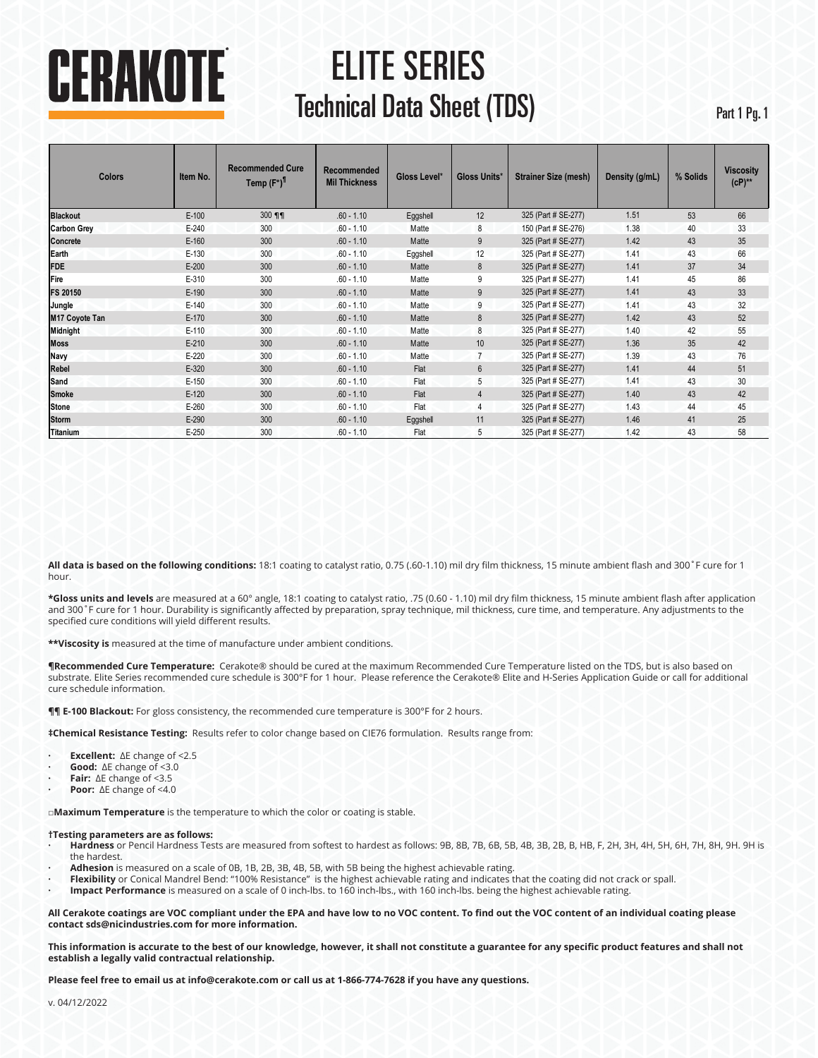# CERAKOTE

## ELITE SERIES **Technical Data Sheet (TDS)** Part 1 Pg. 1

| <b>Colors</b>      | <b>Recommended Cure</b><br>Item No.<br>Temp (F°) <sup>1</sup> |        | Recommended<br>Gloss Level*<br><b>Mil Thickness</b> |          | Gloss Units*    | <b>Strainer Size (mesh)</b> | Density (g/mL) | % Solids | <b>Viscosity</b><br>$(CP)$ ** |
|--------------------|---------------------------------------------------------------|--------|-----------------------------------------------------|----------|-----------------|-----------------------------|----------------|----------|-------------------------------|
| <b>Blackout</b>    | $E-100$                                                       | 300 ¶¶ | $.60 - 1.10$                                        | Eggshell | 12              | 325 (Part # SE-277)         | 1.51           | 53       | 66                            |
| <b>Carbon Grey</b> | $E-240$                                                       | 300    | $.60 - 1.10$                                        | Matte    | 8               | 150 (Part # SE-276)         | 1.38           | 40       | 33                            |
| Concrete           | $E-160$                                                       | 300    | $.60 - 1.10$                                        | Matte    | 9               | 325 (Part # SE-277)         | 1.42           | 43       | 35                            |
| Earth              | $E-130$                                                       | 300    | $.60 - 1.10$                                        | Eggshell | 12              | 325 (Part # SE-277)         | 1.41           | 43       | 66                            |
| <b>FDE</b>         | $E-200$                                                       | 300    | $.60 - 1.10$                                        | Matte    | 8               | 325 (Part # SE-277)         | 1.41           | 37       | 34                            |
| Fire               | E-310                                                         | 300    | $.60 - 1.10$                                        | Matte    | 9               | 325 (Part # SE-277)         | 1.41           | 45       | 86                            |
| FS 20150           | $E-190$                                                       | 300    | $.60 - 1.10$                                        | Matte    | 9               | 325 (Part # SE-277)         | 1.41           | 43       | 33                            |
| Jungle             | $E-140$                                                       | 300    | $.60 - 1.10$                                        | Matte    | 9               | 325 (Part # SE-277)         | 1.41           | 43       | 32                            |
| M17 Coyote Tan     | $E-170$                                                       | 300    | $.60 - 1.10$                                        | Matte    | 8               | 325 (Part # SE-277)         | 1.42           | 43       | 52                            |
| <b>Midnight</b>    | $E-110$                                                       | 300    | $.60 - 1.10$                                        | Matte    | 8               | 325 (Part # SE-277)         | 1.40           | 42       | 55                            |
| <b>Moss</b>        | $E-210$                                                       | 300    | $.60 - 1.10$                                        | Matte    | 10              | 325 (Part # SE-277)         | 1.36           | 35       | 42                            |
| Navy               | $E-220$                                                       | 300    | $.60 - 1.10$                                        | Matte    |                 | 325 (Part # SE-277)         | 1.39           | 43       | 76                            |
| Rebel              | $E-320$                                                       | 300    | $.60 - 1.10$                                        | Flat     | $6\overline{6}$ | 325 (Part # SE-277)         | 1.41           | 44       | 51                            |
| Sand               | $E-150$                                                       | 300    | $.60 - 1.10$                                        | Flat     | 5               | 325 (Part # SE-277)         | 1.41           | 43       | 30                            |
| <b>Smoke</b>       | $E-120$                                                       | 300    | $.60 - 1.10$                                        | Flat     | $\overline{4}$  | 325 (Part # SE-277)         | 1.40           | 43       | 42                            |
| <b>Stone</b>       | $E-260$                                                       | 300    | $.60 - 1.10$                                        | Flat     | 4               | 325 (Part # SE-277)         | 1.43           | 44       | 45                            |
| <b>Storm</b>       | $E-290$                                                       | 300    | $.60 - 1.10$                                        | Eggshell | 11              | 325 (Part # SE-277)         | 1.46           | 41       | 25                            |
| <b>Titanium</b>    | $E-250$                                                       | 300    | $.60 - 1.10$                                        | Flat     | 5               | 325 (Part # SE-277)         | 1.42           | 43       | 58                            |

**All data is based on the following conditions:** 18:1 coating to catalyst ratio, 0.75 (.60-1.10) mil dry film thickness, 15 minute ambient flash and 300˚F cure for 1 hour.

**\*Gloss units and levels** are measured at a 60° angle, 18:1 coating to catalyst ratio, .75 (0.60 - 1.10) mil dry film thickness, 15 minute ambient flash after application and 300˚F cure for 1 hour. Durability is significantly affected by preparation, spray technique, mil thickness, cure time, and temperature. Any adjustments to the specified cure conditions will yield different results.

**\*\*Viscosity is** measured at the time of manufacture under ambient conditions.

**¶Recommended Cure Temperature:** Cerakote® should be cured at the maximum Recommended Cure Temperature listed on the TDS, but is also based on substrate. Elite Series recommended cure schedule is 300°F for 1 hour. Please reference the Cerakote® Elite and H-Series Application Guide or call for additional cure schedule information.

**¶¶ E-100 Blackout:** For gloss consistency, the recommended cure temperature is 300°F for 2 hours.

**‡Chemical Resistance Testing:** Results refer to color change based on CIE76 formulation. Results range from:

- **· Excellent:** ∆E change of <2.5
- **· Good:** ∆E change of <3.0
- **· Fair:** ∆E change of <3.5
- **· Poor:** ∆E change of <4.0

**□Maximum Temperature** is the temperature to which the color or coating is stable.

#### **†Testing parameters are as follows:**

- **· Hardness** or Pencil Hardness Tests are measured from softest to hardest as follows: 9B, 8B, 7B, 6B, 5B, 4B, 3B, 2B, B, HB, F, 2H, 3H, 4H, 5H, 6H, 7H, 8H, 9H. 9H is the hardest.
- **· Adhesion** is measured on a scale of 0B, 1B, 2B, 3B, 4B, 5B, with 5B being the highest achievable rating.
- **· Flexibility** or Conical Mandrel Bend: "100% Resistance" is the highest achievable rating and indicates that the coating did not crack or spall.
- **· Impact Performance** is measured on a scale of 0 inch-lbs. to 160 inch-lbs., with 160 inch-lbs. being the highest achievable rating.

**All Cerakote coatings are VOC compliant under the EPA and have low to no VOC content. To find out the VOC content of an individual coating please contact sds@nicindustries.com for more information.** 

**This information is accurate to the best of our knowledge, however, it shall not constitute a guarantee for any specific product features and shall not establish a legally valid contractual relationship.** 

**Please feel free to email us at info@cerakote.com or call us at 1-866-774-7628 if you have any questions.**

v. 04/12/2022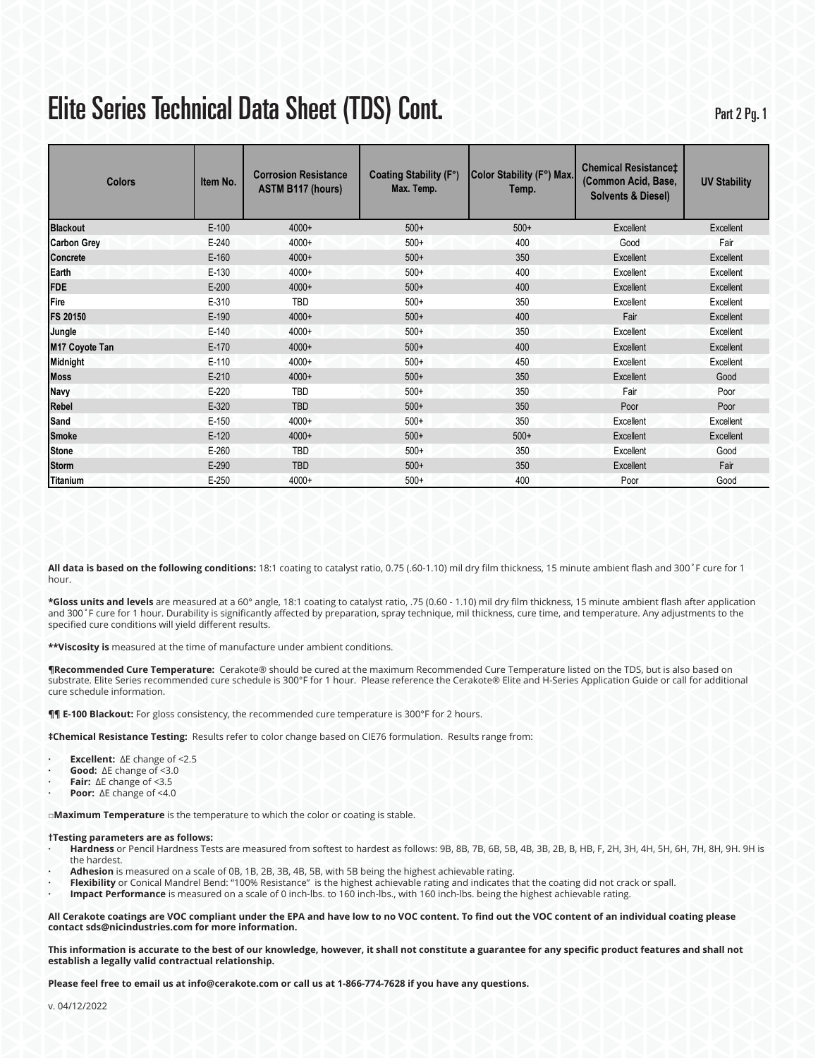## Elite Series Technical Data Sheet (TDS) Cont.

Part 2 Pg. 1

| <b>Colors</b>      | <b>Corrosion Resistance</b><br>Item No.<br><b>ASTM B117 (hours)</b> |            | <b>Coating Stability (F°)</b><br>Max. Temp. | Color Stability (F°) Max.<br>Temp. | <b>Chemical Resistancet</b><br>(Common Acid, Base,<br><b>Solvents &amp; Diesel)</b> | <b>UV Stability</b> |  |
|--------------------|---------------------------------------------------------------------|------------|---------------------------------------------|------------------------------------|-------------------------------------------------------------------------------------|---------------------|--|
| <b>Blackout</b>    | $E-100$                                                             | 4000+      | $500+$                                      | $500+$                             | Excellent                                                                           | Excellent           |  |
| <b>Carbon Grey</b> | $E-240$                                                             | $4000+$    | $500+$                                      | 400                                | Good                                                                                | Fair                |  |
| <b>Concrete</b>    | $E-160$                                                             | $4000+$    | $500+$                                      | 350                                | Excellent                                                                           | Excellent           |  |
| Earth              | E-130                                                               | 4000+      | $500+$                                      | 400                                | Excellent                                                                           | Excellent           |  |
| <b>FDE</b>         | $E-200$                                                             | 4000+      | $500+$                                      | 400                                | Excellent                                                                           | Excellent           |  |
| Fire               | E-310                                                               | TBD        | $500+$                                      | 350                                | Excellent                                                                           | Excellent           |  |
| <b>FS 20150</b>    | $E-190$                                                             | $4000+$    | $500+$                                      | 400                                | Fair                                                                                | Excellent           |  |
| Jungle             | $E-140$                                                             | $4000+$    | $500+$                                      | 350                                | Excellent                                                                           | Excellent           |  |
| M17 Coyote Tan     | $E-170$                                                             | $4000+$    | $500+$                                      | 400                                | Excellent                                                                           | Excellent           |  |
| <b>Midnight</b>    | $E-110$                                                             | $4000+$    | $500+$                                      | 450                                | Excellent                                                                           | Excellent           |  |
| <b>Moss</b>        | $E-210$                                                             | $4000+$    | $500+$                                      | 350                                | Excellent                                                                           | Good                |  |
| <b>Navy</b>        | $E-220$                                                             | TBD        | $500+$                                      | 350                                | Fair                                                                                | Poor                |  |
| Rebel              | $E-320$                                                             | <b>TBD</b> | $500+$                                      | 350                                | Poor                                                                                | Poor                |  |
| Sand               | $E-150$                                                             | $4000+$    | $500+$                                      | 350                                | Excellent                                                                           | Excellent           |  |
| <b>Smoke</b>       | $E-120$                                                             | $4000+$    | $500+$                                      | $500+$                             | Excellent                                                                           | Excellent           |  |
| <b>Stone</b>       | $E-260$                                                             | TBD        | $500+$                                      | 350                                | Excellent                                                                           | Good                |  |
| <b>Storm</b>       | $E-290$                                                             | <b>TBD</b> | $500+$                                      | 350                                | Excellent                                                                           | Fair                |  |
| <b>Titanium</b>    | $E-250$                                                             | 4000+      | $500+$                                      | 400                                | Poor                                                                                | Good                |  |

**All data is based on the following conditions:** 18:1 coating to catalyst ratio, 0.75 (.60-1.10) mil dry film thickness, 15 minute ambient flash and 300˚F cure for 1 hour.

**\*Gloss units and levels** are measured at a 60° angle, 18:1 coating to catalyst ratio, .75 (0.60 - 1.10) mil dry film thickness, 15 minute ambient flash after application and 300°F cure for 1 hour. Durability is significantly affected by preparation, spray technique, mil thickness, cure time, and temperature. Any adjustments to the specified cure conditions will yield different results.

**\*\*Viscosity is** measured at the time of manufacture under ambient conditions.

**¶Recommended Cure Temperature:** Cerakote® should be cured at the maximum Recommended Cure Temperature listed on the TDS, but is also based on substrate. Elite Series recommended cure schedule is 300°F for 1 hour. Please reference the Cerakote® Elite and H-Series Application Guide or call for additional cure schedule information.

**¶¶ E-100 Blackout:** For gloss consistency, the recommended cure temperature is 300°F for 2 hours.

**‡Chemical Resistance Testing:** Results refer to color change based on CIE76 formulation. Results range from:

- **· Excellent:** ∆E change of <2.5
- **· Good:** ∆E change of <3.0
- **· Fair:** ∆E change of <3.5
- **· Poor:** ∆E change of <4.0

**□Maximum Temperature** is the temperature to which the color or coating is stable.

#### **†Testing parameters are as follows:**

- **· Hardness** or Pencil Hardness Tests are measured from softest to hardest as follows: 9B, 8B, 7B, 6B, 5B, 4B, 3B, 2B, B, HB, F, 2H, 3H, 4H, 5H, 6H, 7H, 8H, 9H. 9H is the hardest.
- **· Adhesion** is measured on a scale of 0B, 1B, 2B, 3B, 4B, 5B, with 5B being the highest achievable rating.
- **· Flexibility** or Conical Mandrel Bend: "100% Resistance" is the highest achievable rating and indicates that the coating did not crack or spall.
- **· Impact Performance** is measured on a scale of 0 inch-lbs. to 160 inch-lbs., with 160 inch-lbs. being the highest achievable rating.

**All Cerakote coatings are VOC compliant under the EPA and have low to no VOC content. To find out the VOC content of an individual coating please contact sds@nicindustries.com for more information.** 

**This information is accurate to the best of our knowledge, however, it shall not constitute a guarantee for any specific product features and shall not establish a legally valid contractual relationship.** 

**Please feel free to email us at info@cerakote.com or call us at 1-866-774-7628 if you have any questions.**